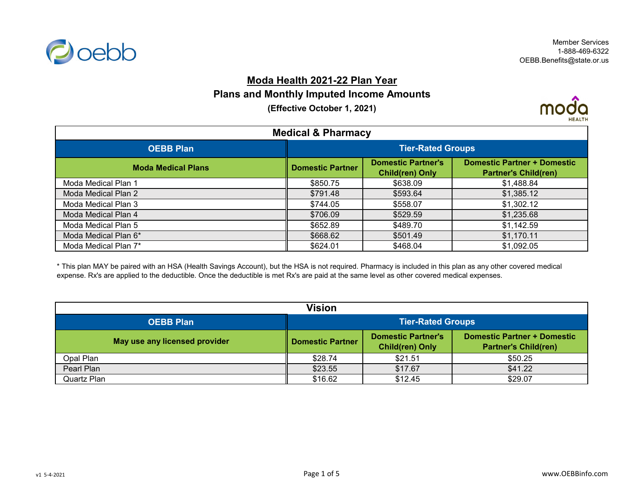

#### **Moda Health 2021-22 Plan Year**

### **Plans and Monthly Imputed Income Amounts**

**(Effective October 1, 2021)**



| <b>Medical &amp; Pharmacy</b> |                          |                                                     |                                                                   |
|-------------------------------|--------------------------|-----------------------------------------------------|-------------------------------------------------------------------|
| <b>OEBB Plan</b>              | <b>Tier-Rated Groups</b> |                                                     |                                                                   |
| <b>Moda Medical Plans</b>     | <b>Domestic Partner</b>  | <b>Domestic Partner's</b><br><b>Child(ren) Only</b> | <b>Domestic Partner + Domestic</b><br><b>Partner's Child(ren)</b> |
| Moda Medical Plan 1           | \$850.75                 | \$638.09                                            | \$1,488.84                                                        |
| Moda Medical Plan 2           | \$791.48                 | \$593.64                                            | \$1,385.12                                                        |
| Moda Medical Plan 3           | \$744.05                 | \$558.07                                            | \$1,302.12                                                        |
| Moda Medical Plan 4           | \$706.09                 | \$529.59                                            | \$1,235.68                                                        |
| Moda Medical Plan 5           | \$652.89                 | \$489.70                                            | \$1,142.59                                                        |
| Moda Medical Plan 6*          | \$668.62                 | \$501.49                                            | \$1,170.11                                                        |
| Moda Medical Plan 7*          | \$624.01                 | \$468.04                                            | \$1,092.05                                                        |

\* This plan MAY be paired with an HSA (Health Savings Account), but the HSA is not required. Pharmacy is included in this plan as any other covered medical expense. Rx's are applied to the deductible. Once the deductible is met Rx's are paid at the same level as other covered medical expenses.

| <b>Vision</b>                 |                                                                                                                                                     |         |         |  |
|-------------------------------|-----------------------------------------------------------------------------------------------------------------------------------------------------|---------|---------|--|
| <b>OEBB Plan</b>              | <b>Tier-Rated Groups</b>                                                                                                                            |         |         |  |
| May use any licensed provider | <b>Domestic Partner + Domestic</b><br><b>Domestic Partner's</b><br><b>Domestic Partner</b><br><b>Child(ren) Only</b><br><b>Partner's Child(ren)</b> |         |         |  |
| Opal Plan                     | \$28.74                                                                                                                                             | \$21.51 | \$50.25 |  |
| Pearl Plan                    | \$23.55                                                                                                                                             | \$17.67 | \$41.22 |  |
| Quartz Plan                   | \$16.62                                                                                                                                             | \$12.45 | \$29.07 |  |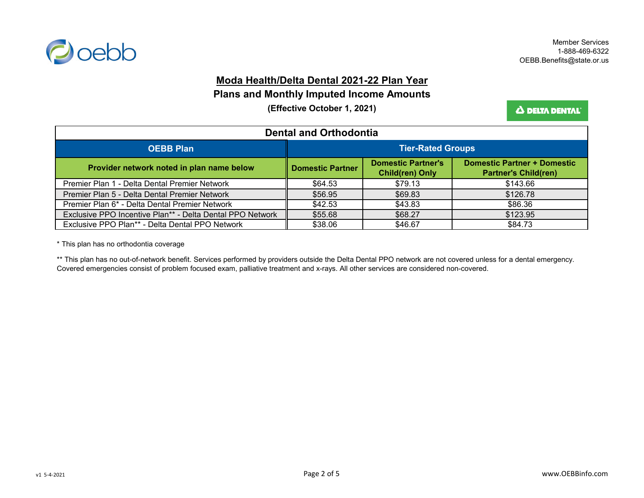

#### **Moda Health/Delta Dental 2021-22 Plan Year**

**Plans and Monthly Imputed Income Amounts**

**(Effective October 1, 2021)**

Δ DELTA DENTAL'

| <b>Dental and Orthodontia</b>                             |                          |                                                     |                                                                   |
|-----------------------------------------------------------|--------------------------|-----------------------------------------------------|-------------------------------------------------------------------|
| <b>OEBB Plan</b>                                          | <b>Tier-Rated Groups</b> |                                                     |                                                                   |
| Provider network noted in plan name below                 | <b>Domestic Partner</b>  | <b>Domestic Partner's</b><br><b>Child(ren) Only</b> | <b>Domestic Partner + Domestic</b><br><b>Partner's Child(ren)</b> |
| Premier Plan 1 - Delta Dental Premier Network             | \$64.53                  | \$79.13                                             | \$143.66                                                          |
| Premier Plan 5 - Delta Dental Premier Network             | \$56.95                  | \$69.83                                             | \$126.78                                                          |
| Premier Plan 6* - Delta Dental Premier Network            | \$42.53                  | \$43.83                                             | \$86.36                                                           |
| Exclusive PPO Incentive Plan** - Delta Dental PPO Network | \$55.68                  | \$68.27                                             | \$123.95                                                          |
| Exclusive PPO Plan** - Delta Dental PPO Network           | \$38.06                  | \$46.67                                             | \$84.73                                                           |

\* This plan has no orthodontia coverage

\*\* This plan has no out-of-network benefit. Services performed by providers outside the Delta Dental PPO network are not covered unless for a dental emergency. Covered emergencies consist of problem focused exam, palliative treatment and x-rays. All other services are considered non-covered.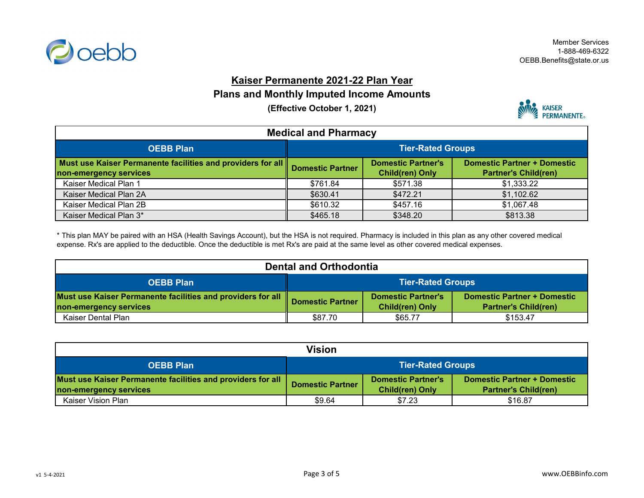

### **Kaiser Permanente 2021-22 Plan Year**

### **Plans and Monthly Imputed Income Amounts**

**(Effective October 1, 2021)**



| <b>Medical and Pharmacy</b>                                                           |                          |                                                     |                                                                   |
|---------------------------------------------------------------------------------------|--------------------------|-----------------------------------------------------|-------------------------------------------------------------------|
| <b>OEBB Plan</b>                                                                      | <b>Tier-Rated Groups</b> |                                                     |                                                                   |
| Must use Kaiser Permanente facilities and providers for all<br>non-emergency services | <b>Domestic Partner</b>  | <b>Domestic Partner's</b><br><b>Child(ren) Only</b> | <b>Domestic Partner + Domestic</b><br><b>Partner's Child(ren)</b> |
| Kaiser Medical Plan 1                                                                 | \$761.84                 | \$571.38                                            | \$1,333.22                                                        |
| Kaiser Medical Plan 2A                                                                | \$630.41                 | \$472.21                                            | \$1,102.62                                                        |
| Kaiser Medical Plan 2B                                                                | \$610.32                 | \$457.16                                            | \$1,067.48                                                        |
| Kaiser Medical Plan 3*                                                                | \$465.18                 | \$348.20                                            | \$813.38                                                          |

\* This plan MAY be paired with an HSA (Health Savings Account), but the HSA is not required. Pharmacy is included in this plan as any other covered medical expense. Rx's are applied to the deductible. Once the deductible is met Rx's are paid at the same level as other covered medical expenses.

| <b>Dental and Orthodontia</b>                                                |                          |                           |                                    |
|------------------------------------------------------------------------------|--------------------------|---------------------------|------------------------------------|
| <b>OEBB Plan</b>                                                             | <b>Tier-Rated Groups</b> |                           |                                    |
| Must use Kaiser Permanente facilities and providers for all Domestic Partner |                          | <b>Domestic Partner's</b> | <b>Domestic Partner + Domestic</b> |
| non-emergency services                                                       |                          | <b>Child(ren) Only</b>    | <b>Partner's Child(ren)</b>        |
| Kaiser Dental Plan                                                           | \$87.70                  | \$65.77                   | \$153.47                           |

| <b>Vision</b>                                                                         |                                                                                                                                                     |        |         |
|---------------------------------------------------------------------------------------|-----------------------------------------------------------------------------------------------------------------------------------------------------|--------|---------|
| <b>Tier-Rated Groups</b><br><b>OEBB Plan</b>                                          |                                                                                                                                                     |        |         |
| Must use Kaiser Permanente facilities and providers for all<br>non-emergency services | <b>Domestic Partner + Domestic</b><br><b>Domestic Partner's</b><br><b>Domestic Partner</b><br><b>Child(ren) Only</b><br><b>Partner's Child(ren)</b> |        |         |
| Kaiser Vision Plan                                                                    | \$9.64                                                                                                                                              | \$7.23 | \$16.87 |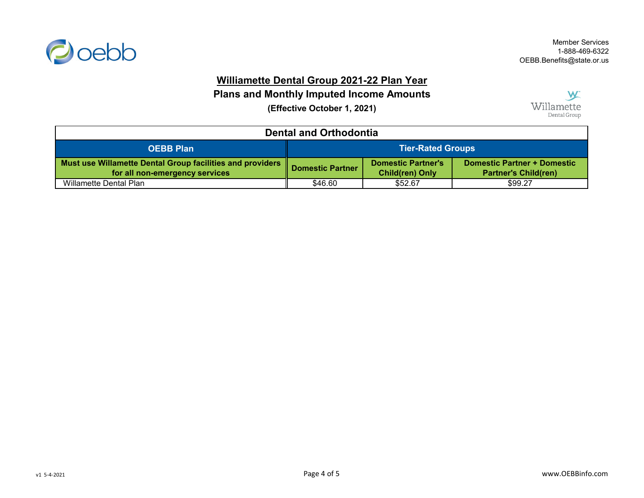

# **Williamette Dental Group 2021-22 Plan Year**

**Plans and Monthly Imputed Income Amounts**

**(Effective October 1, 2021)**



| <b>Dental and Orthodontia</b>                                                               |                                                                                                                                                     |         |         |
|---------------------------------------------------------------------------------------------|-----------------------------------------------------------------------------------------------------------------------------------------------------|---------|---------|
| <b>OEBB Plan</b>                                                                            | <b>Tier-Rated Groups</b>                                                                                                                            |         |         |
| Must use Willamette Dental Group facilities and providers<br>for all non-emergency services | <b>Domestic Partner + Domestic</b><br><b>Domestic Partner's</b><br><b>Domestic Partner</b><br><b>Child(ren) Only</b><br><b>Partner's Child(ren)</b> |         |         |
| Willamette Dental Plan                                                                      | \$46.60                                                                                                                                             | \$52.67 | \$99.27 |